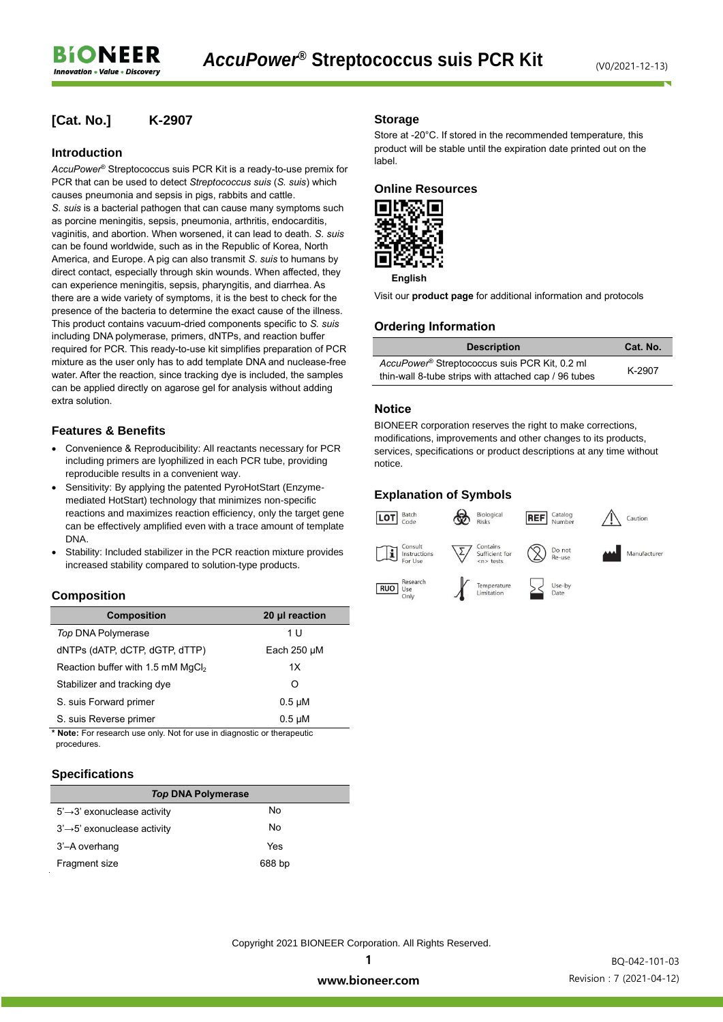## **[Cat. No.] K-2907**

#### **Introduction**

*AccuPower*® Streptococcus suis PCR Kit is a ready-to-use premix for PCR that can be used to detect *Streptococcus suis* (*S. suis*) which causes pneumonia and sepsis in pigs, rabbits and cattle. *S. suis* is a bacterial pathogen that can cause many symptoms such as porcine meningitis, sepsis, pneumonia, arthritis, endocarditis, vaginitis, and abortion. When worsened, it can lead to death. *S. suis* can be found worldwide, such as in the Republic of Korea, North America, and Europe. A pig can also transmit *S. suis* to humans by direct contact, especially through skin wounds. When affected, they can experience meningitis, sepsis, pharyngitis, and diarrhea. As there are a wide variety of symptoms, it is the best to check for the presence of the bacteria to determine the exact cause of the illness. This product contains vacuum-dried components specific to *S. suis* including DNA polymerase, primers, dNTPs, and reaction buffer required for PCR. This ready-to-use kit simplifies preparation of PCR mixture as the user only has to add template DNA and nuclease-free water. After the reaction, since tracking dye is included, the samples can be applied directly on agarose gel for analysis without adding extra solution.

## **Features & Benefits**

- Convenience & Reproducibility: All reactants necessary for PCR including primers are lyophilized in each PCR tube, providing reproducible results in a convenient way.
- Sensitivity: By applying the patented PyroHotStart (Enzymemediated HotStart) technology that minimizes non-specific reactions and maximizes reaction efficiency, only the target gene can be effectively amplified even with a trace amount of template DNA.
- Stability: Included stabilizer in the PCR reaction mixture provides increased stability compared to solution-type products.

#### **Composition**

| <b>Composition</b>                            | 20 µl reaction   |
|-----------------------------------------------|------------------|
| Top DNA Polymerase                            | 1 U              |
| dNTPs (dATP, dCTP, dGTP, dTTP)                | Each $250 \mu M$ |
| Reaction buffer with 1.5 mM MgCl <sub>2</sub> | 1X               |
| Stabilizer and tracking dye                   | Ω                |
| S. suis Forward primer                        | $0.5 \mu M$      |
| S. suis Reverse primer                        | $0.5 \mu M$      |

**\* Note:** For research use only. Not for use in diagnostic or therapeutic procedures.

#### **Specifications**

| <b>Top DNA Polymerase</b>                |        |  |  |  |
|------------------------------------------|--------|--|--|--|
| $5' \rightarrow 3'$ exonuclease activity | No     |  |  |  |
| $3' \rightarrow 5'$ exonuclease activity | No     |  |  |  |
| 3'-A overhang                            | Yes    |  |  |  |
| Fragment size                            | 688 bp |  |  |  |

### **Storage**

Store at -20°C. If stored in the recommended temperature, this product will be stable until the expiration date printed out on the label.

#### **Online Resources**



**English**

Visit our **product page** for additional information and protocols

## **Ordering Information**

| <b>Description</b>                                                                                    | Cat. No. |
|-------------------------------------------------------------------------------------------------------|----------|
| AccuPower® Streptococcus suis PCR Kit, 0.2 ml<br>thin-wall 8-tube strips with attached cap / 96 tubes | K-2907   |

#### **Notice**

BIONEER corporation reserves the right to make corrections, modifications, improvements and other changes to its products, services, specifications or product descriptions at any time without notice.

## **Explanation of Symbols**



Copyright 2021 BIONEER Corporation. All Rights Reserved.